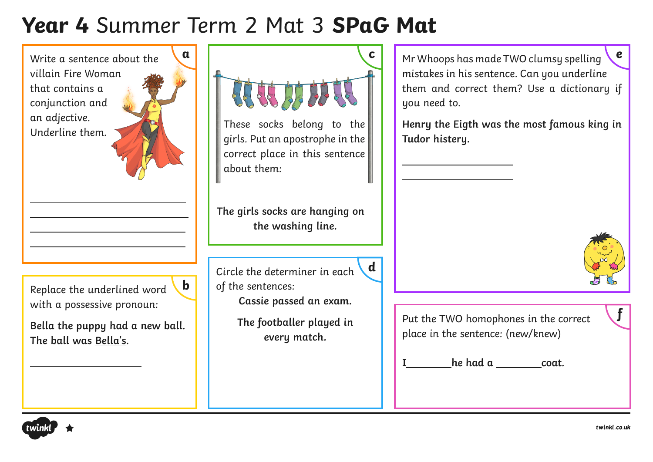# **Year 4** Summer Term 2 Mat 3 **SPaG Mat**

( twinkl

twinkl.co.uk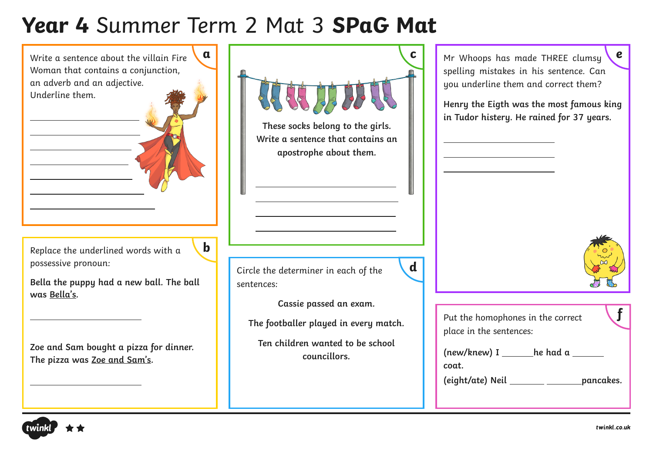# **Year 4** Summer Term 2 Mat 3 **SPaG Mat**



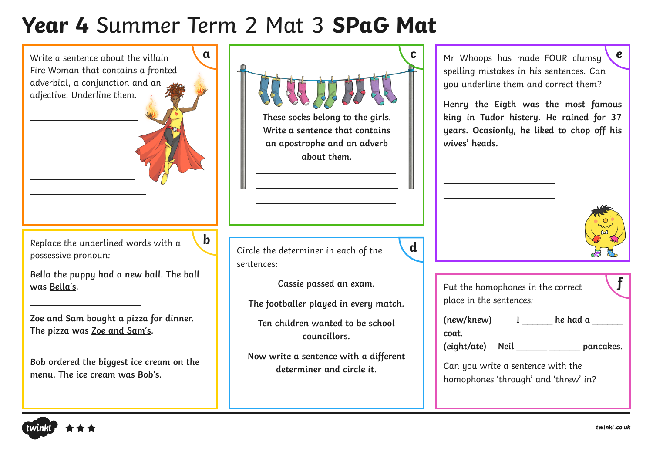# **Year 4** Summer Term 2 Mat 3 **SPaG Mat**

| $\mathbf{a}$<br>Write a sentence about the villain<br>Fire Woman that contains a fronted<br>adverbial, a conjunction and an<br>adjective. Underline them.                                                       | С<br>5555<br>These socks belong to the girls.<br>Write a sentence that contains<br>an apostrophe and an adverb<br>about them.                                                            | $\mathbf e$<br>Mr Whoops has made FOUR clumsy<br>spelling mistakes in his sentences. Can<br>you underline them and correct them?<br>Henry the Eigth was the most famous<br>king in Tudor histery. He rained for 37<br>years. Ocasionly, he liked to chop off his<br>wives' heads. |
|-----------------------------------------------------------------------------------------------------------------------------------------------------------------------------------------------------------------|------------------------------------------------------------------------------------------------------------------------------------------------------------------------------------------|-----------------------------------------------------------------------------------------------------------------------------------------------------------------------------------------------------------------------------------------------------------------------------------|
| $\mathbf b$<br>Replace the underlined words with a<br>possessive pronoun:<br>Bella the puppy had a new ball. The ball<br>was Bella's.<br>Zoe and Sam bought a pizza for dinner.<br>The pizza was Zoe and Sam's. | $\mathbf d$<br>Circle the determiner in each of the<br>sentences:<br>Cassie passed an exam.<br>The footballer played in every match.<br>Ten children wanted to be school<br>councillors. | Put the homophones in the correct<br>place in the sentences:<br>(new/knew) I he had a<br>coat.                                                                                                                                                                                    |
| Bob ordered the biggest ice cream on the<br>menu. The ice cream was Bob's.                                                                                                                                      | Now write a sentence with a different<br>determiner and circle it.                                                                                                                       | (eight/ate) Neil _______ _____ pancakes.<br>Can you write a sentence with the<br>homophones 'through' and 'threw' in?                                                                                                                                                             |

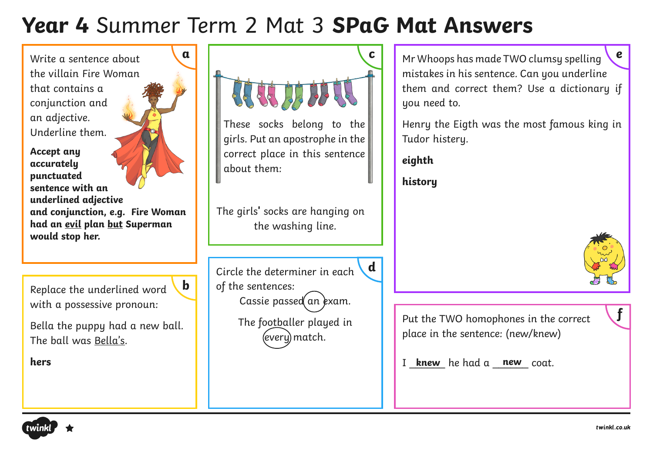# **Year 4** Summer Term 2 Mat 3 **SPaG Mat Answers**



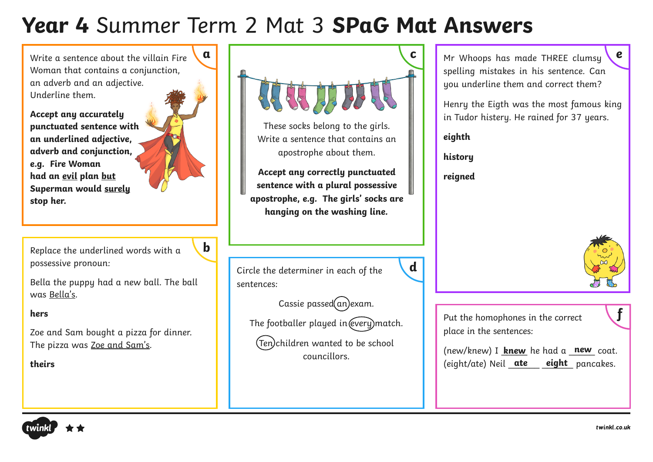# **Year 4** Summer Term 2 Mat 3 **SPaG Mat Answers**

Write a sentence about the villain Fire Woman that contains a conjunction, an adverb and an adjective. Underline them.

**Accept any accurately punctuated sentence with an underlined adjective, adverb and conjunction, e.g. Fire Woman had an evil plan but Superman would surely stop her.**

Replace the underlined words with a possessive pronoun:

Bella the puppy had a new ball. The ball was Bella's.

**b**

#### **hers**

Zoe and Sam bought a pizza for dinner. The pizza was Zoe and Sam's.

**theirs**



Write a sentence that contains an apostrophe about them.

**Accept any correctly punctuated sentence with a plural possessive apostrophe, e.g. The girls' socks are hanging on the washing line.**

Circle the determiner in each of the sentences:

 $\text{Cassie passed}(an)$ exam.

The footballer played in (every) match.

(Ten) children wanted to be school councillors.

spelling mistakes in his sentence. Can you underline them and correct them?

Henry the Eigth was the most famous king in Tudor histery. He rained for 37 years.

**eighth**

**history**

**reigned**

**d**



Put the homophones in the correct place in the sentences:

(new/knew) I **knew** he had a new coat. (eight/ate) Neil **ate** eight pancakes.



**f**